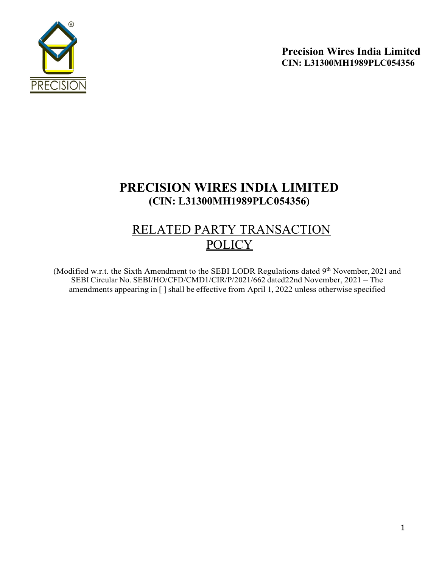

# PRECISION WIRES INDIA LIMITED (CIN: L31300MH1989PLC054356)

# RELATED PARTY TRANSACTION **POLICY**

(Modified w.r.t. the Sixth Amendment to the SEBI LODR Regulations dated 9<sup>th</sup> November, 2021 and SEBI Circular No. SEBI/HO/CFD/CMD1/CIR/P/2021/662 dated 22nd November, 2021 – The amendments appearing in [ ] shall be effective from April 1, 2022 unless otherwise specified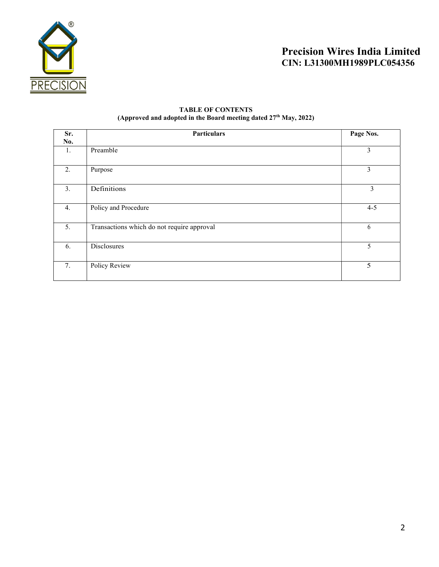

# TABLE OF CONTENTS (Approved and adopted in the Board meeting dated  $27<sup>th</sup>$  May,  $2022$ )

| Sr.<br>No. | <b>Particulars</b>                         | Page Nos. |  |
|------------|--------------------------------------------|-----------|--|
| 1.         | Preamble                                   | 3         |  |
| 2.         | Purpose                                    | 3         |  |
| 3.         | Definitions                                | 3         |  |
| 4.         | Policy and Procedure                       | $4 - 5$   |  |
| 5.         | Transactions which do not require approval | 6         |  |
| 6.         | Disclosures                                | 5         |  |
| 7.         | <b>Policy Review</b>                       | 5         |  |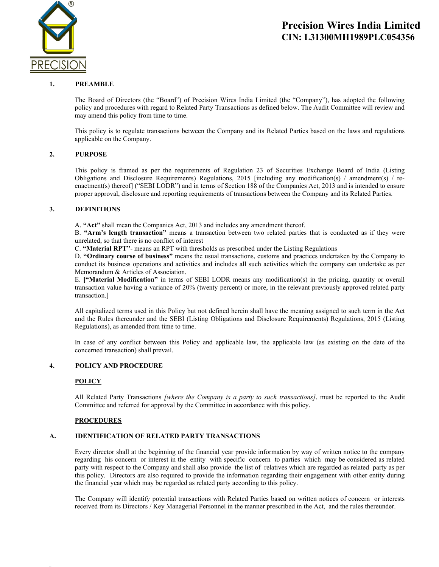

### 1. PREAMBLE

The Board of Directors (the "Board") of Precision Wires India Limited (the "Company"), has adopted the following policy and procedures with regard to Related Party Transactions as defined below. The Audit Committee will review and may amend this policy from time to time.

This policy is to regulate transactions between the Company and its Related Parties based on the laws and regulations applicable on the Company.

### 2. PURPOSE

This policy is framed as per the requirements of Regulation 23 of Securities Exchange Board of India (Listing Obligations and Disclosure Requirements) Regulations, 2015 [including any modification(s) / amendment(s) / reenactment(s) thereof] ("SEBI LODR") and in terms of Section 188 of the Companies Act, 2013 and is intended to ensure proper approval, disclosure and reporting requirements of transactions between the Company and its Related Parties.

### 3. DEFINITIONS

A. "Act" shall mean the Companies Act, 2013 and includes any amendment thereof.

B. "Arm's length transaction" means a transaction between two related parties that is conducted as if they were unrelated, so that there is no conflict of interest

C. "Material RPT"- means an RPT with thresholds as prescribed under the Listing Regulations

D. "Ordinary course of business" means the usual transactions, customs and practices undertaken by the Company to conduct its business operations and activities and includes all such activities which the company can undertake as per Memorandum & Articles of Association.

E. ["Material Modification" in terms of SEBI LODR means any modification(s) in the pricing, quantity or overall transaction value having a variance of 20% (twenty percent) or more, in the relevant previously approved related party transaction.]

All capitalized terms used in this Policy but not defined herein shall have the meaning assigned to such term in the Act and the Rules thereunder and the SEBI (Listing Obligations and Disclosure Requirements) Regulations, 2015 (Listing Regulations), as amended from time to time.

In case of any conflict between this Policy and applicable law, the applicable law (as existing on the date of the concerned transaction) shall prevail.

### 4. POLICY AND PROCEDURE

# **POLICY**

Appro

All Related Party Transactions [where the Company is a party to such transactions], must be reported to the Audit Committee and referred for approval by the Committee in accordance with this policy.

#### **PROCEDURES**

# A. IDENTIFICATION OF RELATED PARTY TRANSACTIONS

Every director shall at the beginning of the financial year provide information by way of written notice to the company regarding his concern or interest in the entity with specific concern to parties which may be considered as related party with respect to the Company and shall also provide the list of relatives which are regarded as related party as per this policy. Directors are also required to provide the information regarding their engagement with other entity during the financial year which may be regarded as related party according to this policy.

The Company will identify potential transactions with Related Parties based on written notices of concern or interests received from its Directors / Key Managerial Personnel in the manner prescribed in the Act, and the rules thereunder.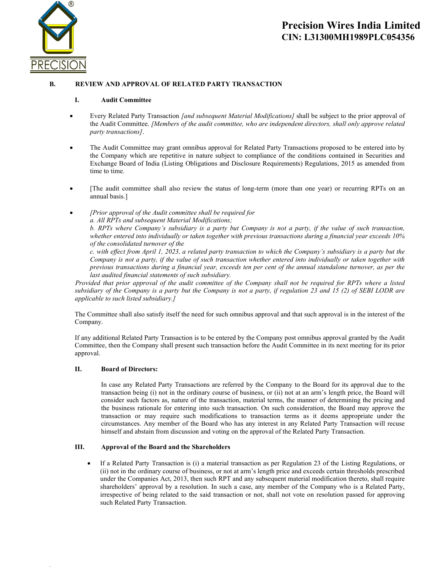

# B. REVIEW AND APPROVAL OF RELATED PARTY TRANSACTION

#### I. Audit Committee

- Every Related Party Transaction [and subsequent Material Modifications] shall be subject to the prior approval of the Audit Committee. [Members of the audit committee, who are independent directors, shall only approve related party transactions].
- The Audit Committee may grant omnibus approval for Related Party Transactions proposed to be entered into by the Company which are repetitive in nature subject to compliance of the conditions contained in Securities and Exchange Board of India (Listing Obligations and Disclosure Requirements) Regulations, 2015 as amended from time to time.
- [The audit committee shall also review the status of long-term (more than one year) or recurring RPTs on an annual basis.]
- [Prior approval of the Audit committee shall be required for

a. All RPTs and subsequent Material Modifications;

b. RPTs where Company's subsidiary is a party but Company is not a party, if the value of such transaction, whether entered into individually or taken together with previous transactions during a financial year exceeds 10% of the consolidated turnover of the

c. with effect from April 1, 2023, a related party transaction to which the Company's subsidiary is a party but the Company is not a party, if the value of such transaction whether entered into individually or taken together with previous transactions during a financial year, exceeds ten per cent of the annual standalone turnover, as per the last audited financial statements of such subsidiary.

 Provided that prior approval of the audit committee of the Company shall not be required for RPTs where a listed subsidiary of the Company is a party but the Company is not a party, if regulation 23 and 15 (2) of SEBI LODR are applicable to such listed subsidiary.]

The Committee shall also satisfy itself the need for such omnibus approval and that such approval is in the interest of the Company.

If any additional Related Party Transaction is to be entered by the Company post omnibus approval granted by the Audit Committee, then the Company shall present such transaction before the Audit Committee in its next meeting for its prior approval.

#### II. Board of Directors:

Appro

In case any Related Party Transactions are referred by the Company to the Board for its approval due to the transaction being (i) not in the ordinary course of business, or (ii) not at an arm's length price, the Board will consider such factors as, nature of the transaction, material terms, the manner of determining the pricing and the business rationale for entering into such transaction. On such consideration, the Board may approve the transaction or may require such modifications to transaction terms as it deems appropriate under the circumstances. Any member of the Board who has any interest in any Related Party Transaction will recuse himself and abstain from discussion and voting on the approval of the Related Party Transaction.

# III. Approval of the Board and the Shareholders

 If a Related Party Transaction is (i) a material transaction as per Regulation 23 of the Listing Regulations, or (ii) not in the ordinary course of business, or not at arm's length price and exceeds certain thresholds prescribed under the Companies Act, 2013, then such RPT and any subsequent material modification thereto, shall require shareholders' approval by a resolution. In such a case, any member of the Company who is a Related Party, irrespective of being related to the said transaction or not, shall not vote on resolution passed for approving such Related Party Transaction.